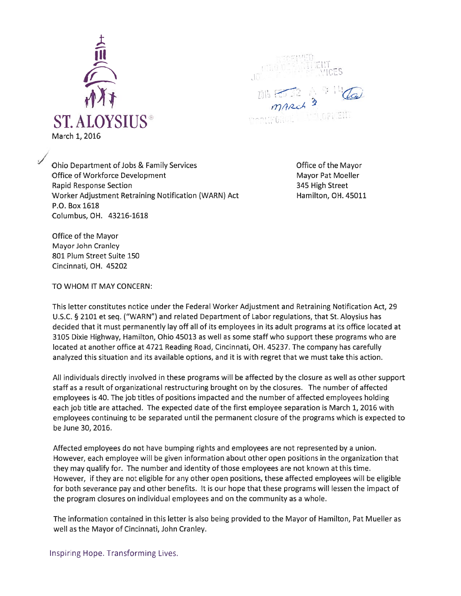

:———

Ohio Department of Jobs & Family Services The Mayor Company of the Mayor Office of Workforce Development Mayor Pat Moeller Rapid Response Section 345 High Street Worker Adjustment Retraining Notification (WARN) Act Hamilton, OH. 45011 P.O. Box 1618 Columbus, OH. 43216-1618

Office of the Mayor Mayor John Cranley 801 Plum Street Suite 150 Cincinnati, OH. 45202

TO WHOM IT MAY CONCERN:

This letter constitutes notice under the Federal Worker Adjustment and Retraining Notification Act, 29 U.S.C. § 2101 et seq. ("WARN") and related Department of Labor regulations, that St. Aloysius has decided that it must permanently lay off all of its employees in its adult programs at its office located at 3105 Dixie Highway, Hamilton, Ohio 45013 as well as some staff who suppor<sup>t</sup> these programs who are located at another office at 4721 Reading Road, Cincinnati, OH. 45237. The company has carefully analyzed this situation and its available options, and it is with regre<sup>t</sup> that we must take this action.

All individuals directly involved in these programs will be affected by the closure as well as other suppor<sup>t</sup> staff as <sup>a</sup> result of organizational restructuring brought on by the closures. The number of affected employees is 40. The job titles of positions impacted and the number of affected employees holding each job title are attached. The expected date of the first employee separation is March 1, 2016 with employees continuing to be separated until the permanen<sup>t</sup> closure of the programs which is expected to be June 30, 2016.

Affected employees do not have bumping rights and employees are not represented by <sup>a</sup> union. However, each employee will be given information about other open positions in the organization that they may qualify for. The number and identity of those employees are not known at this time. However, if they are not eligible for any other open positions, these affected employees will be eligible for both severance pay and other benefits. It is our hope that these programs will lessen the impact of the program closures on individual employees and on the community as <sup>a</sup> whole.

The information contained in this letter is also being provided to the Mayor of Hamilton, Pat Mueller as well as the Mayor of Cincinnati, John Cranley.

Inspiring Hope. Transforming Lives.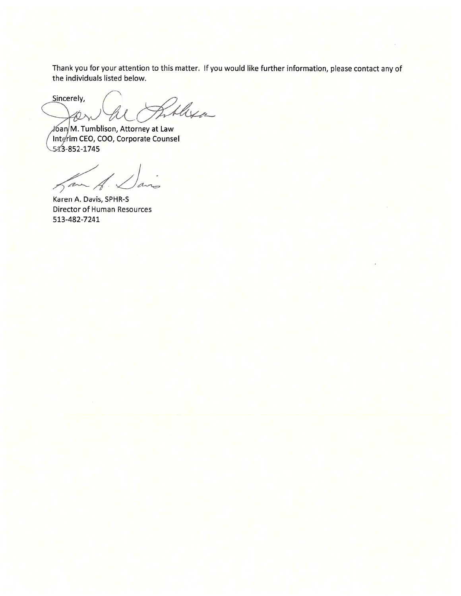Thank you for your attention to this matter. If you would like further information, <sup>p</sup>lease contact any of the individuals listed below.

Sincerely, Theya JL

j6an, M. Turn blison, Attorney at Law ( Interim CEO, COO, Corporate Counsel<br>543-852-1745

han A. an

Karen A. Davis, SPHR-S Director of Human Resources 513-482-7241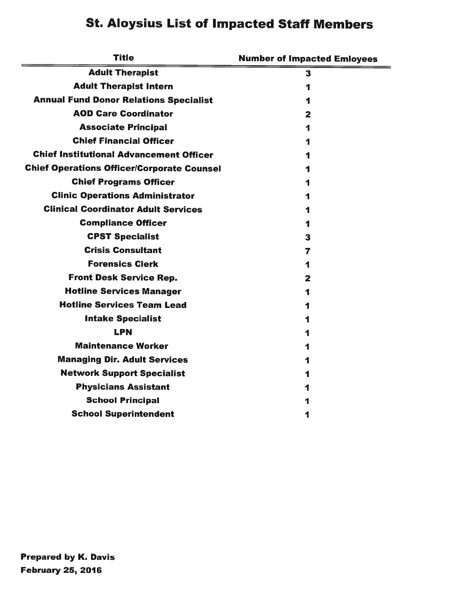## St. Aloysius List of Impacted Staff Members

| <b>Title</b>                                      | <b>Number of Impacted Emloyees</b> |
|---------------------------------------------------|------------------------------------|
| <b>Adult Therapist</b>                            | 3                                  |
| <b>Adult Therapist Intern</b>                     | 1                                  |
| <b>Annual Fund Donor Relations Specialist</b>     |                                    |
| <b>AOD Care Coordinator</b>                       | 2                                  |
| <b>Associate Principal</b>                        |                                    |
| <b>Chief Financial Officer</b>                    |                                    |
| <b>Chief Institutional Advancement Officer</b>    |                                    |
| <b>Chief Operations Officer/Corporate Counsel</b> |                                    |
| <b>Chief Programs Officer</b>                     |                                    |
| <b>Clinic Operations Administrator</b>            |                                    |
| <b>Clinical Coordinator Adult Services</b>        |                                    |
| <b>Compliance Officer</b>                         | 1                                  |
| <b>CPST Specialist</b>                            | 3                                  |
| <b>Crisis Consultant</b>                          | 7                                  |
| <b>Forensics Clerk</b>                            | 1                                  |
| <b>Front Desk Service Rep.</b>                    | 2                                  |
| <b>Hotline Services Manager</b>                   | 1                                  |
| <b>Hotline Services Team Lead</b>                 |                                    |
| <b>Intake Specialist</b>                          | 1                                  |
| <b>LPN</b>                                        |                                    |
| <b>Maintenance Worker</b>                         |                                    |
| <b>Managing Dir. Adult Services</b>               |                                    |
| <b>Network Support Specialist</b>                 | 1                                  |
| <b>Physicians Assistant</b>                       |                                    |
| <b>School Principal</b>                           | 1                                  |
| <b>School Superintendent</b>                      | 1                                  |